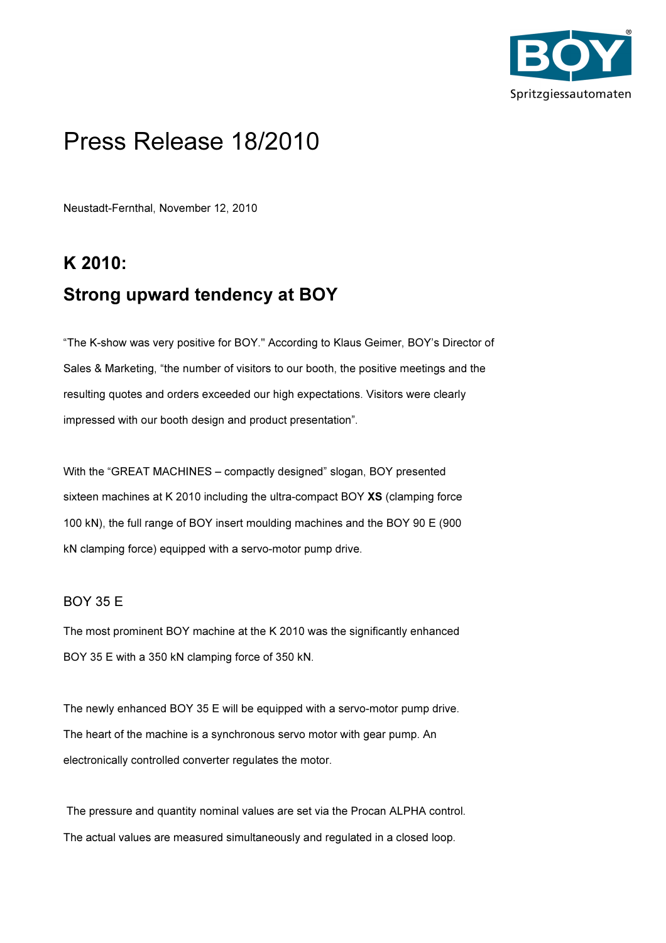

# Press Release 18/2010

Neustadt-Fernthal, November 12, 2010

## K 2010: Strong upward tendency at BOY

"The K-show was very positive for BOY." According to Klaus Geimer, BOY's Director of Sales & Marketing, "the number of visitors to our booth, the positive meetings and the resulting quotes and orders exceeded our high expectations. Visitors were clearly impressed with our booth design and product presentation".

With the "GREAT MACHINES – compactly designed" slogan, BOY presented sixteen machines at K 2010 including the ultra-compact BOY XS (clamping force 100 kN), the full range of BOY insert moulding machines and the BOY 90 E (900 kN clamping force) equipped with a servo-motor pump drive.

## BOY 35 E

The most prominent BOY machine at the K 2010 was the significantly enhanced BOY 35 E with a 350 kN clamping force of 350 kN.

The newly enhanced BOY 35 E will be equipped with a servo-motor pump drive. The heart of the machine is a synchronous servo motor with gear pump. An electronically controlled converter regulates the motor.

 The pressure and quantity nominal values are set via the Procan ALPHA control. The actual values are measured simultaneously and regulated in a closed loop.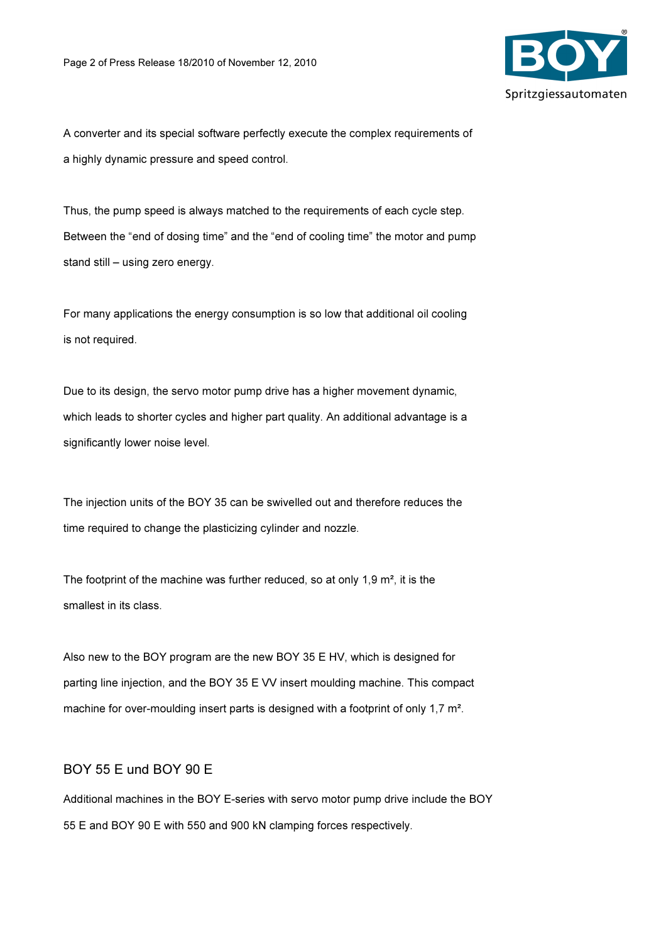

A converter and its special software perfectly execute the complex requirements of a highly dynamic pressure and speed control.

Thus, the pump speed is always matched to the requirements of each cycle step. Between the "end of dosing time" and the "end of cooling time" the motor and pump stand still – using zero energy.

For many applications the energy consumption is so low that additional oil cooling is not required.

Due to its design, the servo motor pump drive has a higher movement dynamic, which leads to shorter cycles and higher part quality. An additional advantage is a significantly lower noise level.

The injection units of the BOY 35 can be swivelled out and therefore reduces the time required to change the plasticizing cylinder and nozzle.

The footprint of the machine was further reduced, so at only 1,9 m<sup>2</sup>, it is the smallest in its class.

Also new to the BOY program are the new BOY 35 E HV, which is designed for parting line injection, and the BOY 35 E VV insert moulding machine. This compact machine for over-moulding insert parts is designed with a footprint of only 1,7 m<sup>2</sup>.

## BOY 55 E und BOY 90 E

Additional machines in the BOY E-series with servo motor pump drive include the BOY 55 E and BOY 90 E with 550 and 900 kN clamping forces respectively.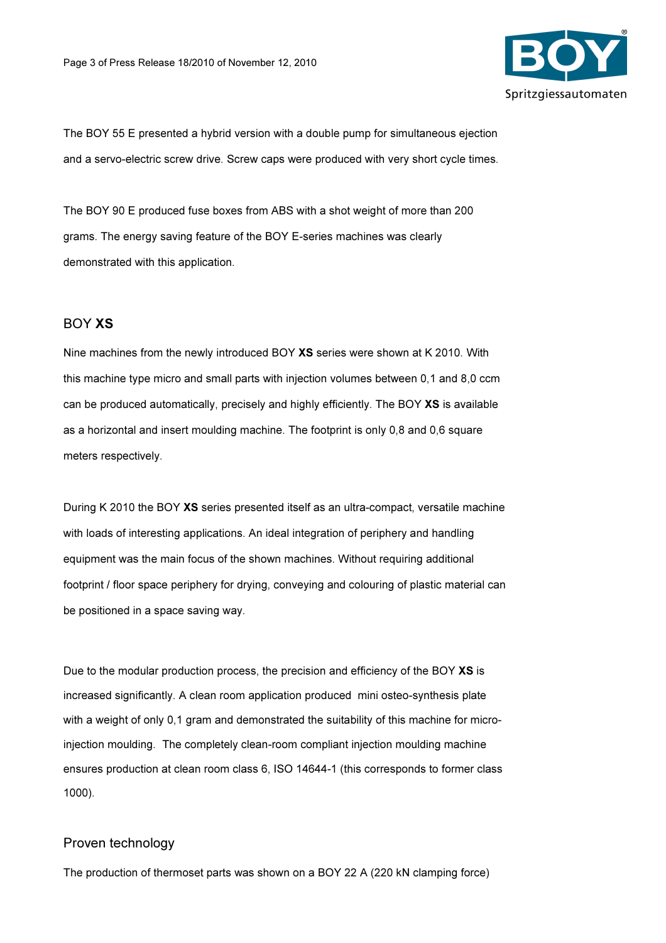

The BOY 55 E presented a hybrid version with a double pump for simultaneous ejection and a servo-electric screw drive. Screw caps were produced with very short cycle times.

The BOY 90 E produced fuse boxes from ABS with a shot weight of more than 200 grams. The energy saving feature of the BOY E-series machines was clearly demonstrated with this application.

#### BOY XS

Nine machines from the newly introduced BOY XS series were shown at K 2010. With this machine type micro and small parts with injection volumes between 0,1 and 8,0 ccm can be produced automatically, precisely and highly efficiently. The BOY XS is available as a horizontal and insert moulding machine. The footprint is only 0,8 and 0,6 square meters respectively.

During K 2010 the BOY XS series presented itself as an ultra-compact, versatile machine with loads of interesting applications. An ideal integration of periphery and handling equipment was the main focus of the shown machines. Without requiring additional footprint / floor space periphery for drying, conveying and colouring of plastic material can be positioned in a space saving way.

Due to the modular production process, the precision and efficiency of the BOY XS is increased significantly. A clean room application produced mini osteo-synthesis plate with a weight of only 0,1 gram and demonstrated the suitability of this machine for microinjection moulding. The completely clean-room compliant injection moulding machine ensures production at clean room class 6, ISO 14644-1 (this corresponds to former class 1000).

#### Proven technology

The production of thermoset parts was shown on a BOY 22 A (220 kN clamping force)